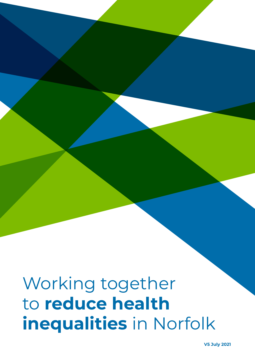# Working together to **reduce health inequalities** in Norfolk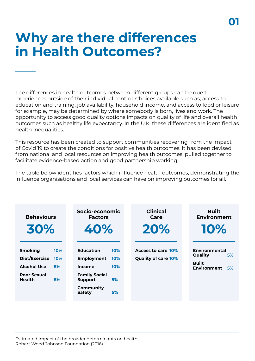### **Why are there differences in Health Outcomes?**

The differences in health outcomes between different groups can be due to experiences outside of their individual control. Choices available such as; access to education and training, job availability, household income, and access to food or leisure for example, may be determined by where somebody is born, lives and work. The opportunity to access good quality options impacts on quality of life and overall health outcomes such as healthy life expectancy. In the U.K. these differences are identified as health inequalities.

This resource has been created to support communities recovering from the impact of Covid 19 to create the conditions for positive health outcomes. It has been devised from national and local resources on improving health outcomes, pulled together to facilitate evidence-based action and good partnership working.

The table below identifies factors which influence health outcomes, demonstrating the influence organisations and local services can have on improving outcomes for all.

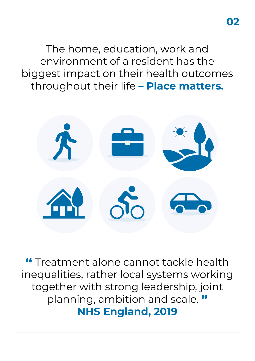The home, education, work and environment of a resident has the biggest impact on their health outcomes throughout their life **– Place matters.**



Treatment alone cannot tackle health inequalities, rather local systems working together with strong leadership, joint planning, ambition and scale. " **NHS England, 2019**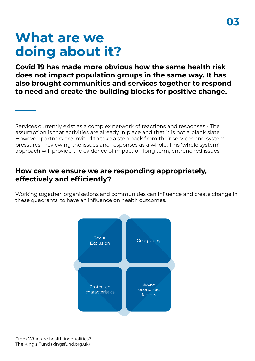## **What are we doing about it?**

**Covid 19 has made more obvious how the same health risk does not impact population groups in the same way. It has also brought communities and services together to respond to need and create the building blocks for positive change.**

Services currently exist as a complex network of reactions and responses - The assumption is that activities are already in place and that it is not a blank slate. However, partners are invited to take a step back from their services and system pressures - reviewing the issues and responses as a whole. This 'whole system' approach will provide the evidence of impact on long term, entrenched issues.

### **How can we ensure we are responding appropriately, effectively and efficiently?**

Working together, organisations and communities can influence and create change in these quadrants, to have an influence on health outcomes.

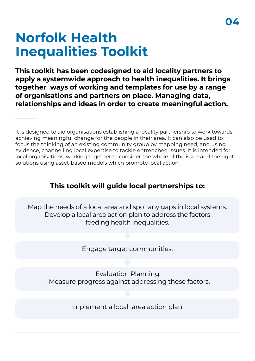## **Norfolk Health Inequalities Toolkit**

**This toolkit has been codesigned to aid locality partners to apply a systemwide approach to health inequalities. It brings together ways of working and templates for use by a range of organisations and partners on place. Managing data, relationships and ideas in order to create meaningful action.**

It is designed to aid organisations establishing a locality partnership to work towards achieving meaningful change for the people in their area. It can also be used to focus the thinking of an existing community group by mapping need, and using evidence, channelling local expertise to tackle entrenched issues. It is intended for local organisations, working together to consider the whole of the issue and the right solutions using asset-based models which promote local action.

### **This toolkit will guide local partnerships to:**

Map the needs of a local area and spot any gaps in local systems. Develop a local area action plan to address the factors feeding health inequalities.

Engage target communities.

Evaluation Planning - Measure progress against addressing these factors.

Implement a local area action plan.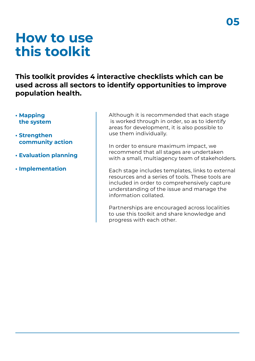### **How to use this toolkit**

**This toolkit provides 4 interactive checklists which can be used across all sectors to identify opportunities to improve population health.** 

- **Mapping the system**
- **Strengthen community action**
- **• Evaluation planning**
- **Implementation**

Although it is recommended that each stage is worked through in order, so as to identify areas for development, it is also possible to use them individually.

In order to ensure maximum impact, we recommend that all stages are undertaken with a small, multiagency team of stakeholders.

Each stage includes templates, links to external resources and a series of tools. These tools are included in order to comprehensively capture understanding of the issue and manage the information collated.

Partnerships are encouraged across localities to use this toolkit and share knowledge and progress with each other.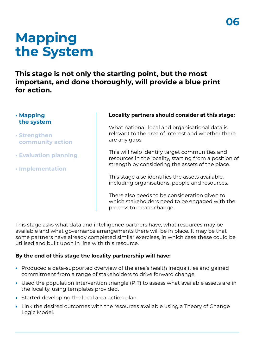## **Mapping the System**

**This stage is not only the starting point, but the most important, and done thoroughly, will provide a blue print for action.**

#### **• Mapping the system**

- **Strengthen community action**
- **• Evaluation planning**
- **Implementation**

#### **Locality partners should consider at this stage:**

What national, local and organisational data is relevant to the area of interest and whether there are any gaps.

This will help identify target communities and resources in the locality, starting from a position of strength by considering the assets of the place.

This stage also identifies the assets available, including organisations, people and resources.

There also needs to be consideration given to which stakeholders need to be engaged with the process to create change.

This stage asks what data and intelligence partners have, what resources may be available and what governance arrangements there will be in place. It may be that some partners have already completed similar exercises, in which case these could be utilised and built upon in line with this resource.

### **By the end of this stage the locality partnership will have:**

- Produced a data-supported overview of the area's health inequalities and gained commitment from a range of stakeholders to drive forward change.
- Used the population intervention triangle (PIT) to assess what available assets are in the locality, using templates provided.
- Started developing the local area action plan.
- Link the desired outcomes with the resources available using a Theory of Change Logic Model.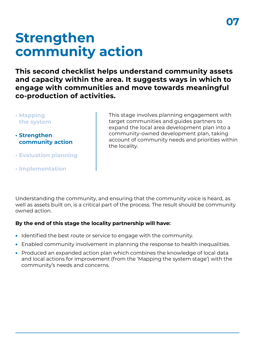## **Strengthen community action**

**This second checklist helps understand community assets and capacity within the area. It suggests ways in which to engage with communities and move towards meaningful co-production of activities.**

- **Mapping the system**
- **Strengthen community action**
- **• Evaluation planning**
- **Implementation**

This stage involves planning engagement with target communities and guides partners to expand the local area development plan into a community-owned development plan, taking account of community needs and priorities within the locality.

Understanding the community, and ensuring that the community voice is heard, as well as assets built on, is a critical part of the process. The result should be community owned action.

### **By the end of this stage the locality partnership will have:**

- Identified the best route or service to engage with the community.
- Enabled community involvement in planning the response to health inequalities.
- Produced an expanded action plan which combines the knowledge of local data and local actions for improvement (from the 'Mapping the system stage') with the community's needs and concerns.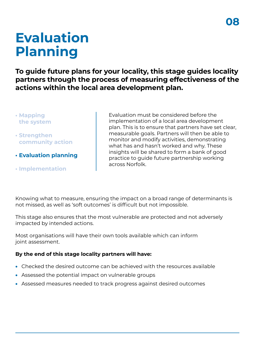## **Evaluation Planning**

**To guide future plans for your locality, this stage guides locality partners through the process of measuring effectiveness of the actions within the local area development plan.**

- **Mapping the system**
- **Strengthen community action**
- **• Evaluation planning**
- **Implementation**

Evaluation must be considered before the implementation of a local area development plan. This is to ensure that partners have set clear, measurable goals. Partners will then be able to monitor and modify activities, demonstrating what has and hasn't worked and why. These insights will be shared to form a bank of good practice to guide future partnership working across Norfolk.

Knowing what to measure, ensuring the impact on a broad range of determinants is not missed, as well as 'soft outcomes' is difficult but not impossible.

This stage also ensures that the most vulnerable are protected and not adversely impacted by intended actions.

Most organisations will have their own tools available which can inform joint assessment.

#### **By the end of this stage locality partners will have:**

- Checked the desired outcome can be achieved with the resources available
- Assessed the potential impact on vulnerable groups
- Assessed measures needed to track progress against desired outcomes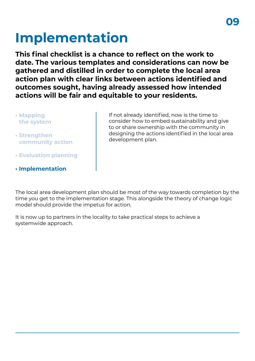# **Implementation**

**This final checklist is a chance to reflect on the work to date. The various templates and considerations can now be gathered and distilled in order to complete the local area action plan with clear links between actions identified and outcomes sought, having already assessed how intended actions will be fair and equitable to your residents.**

- **Mapping the system**
- **Strengthen community action**
- **• Evaluation planning**
- **Implementation**

If not already identified, now is the time to consider how to embed sustainability and give to or share ownership with the community in designing the actions identified in the local area development plan.

The local area development plan should be most of the way towards completion by the time you get to the implementation stage. This alongside the theory of change logic model should provide the impetus for action.

It is now up to partners in the locality to take practical steps to achieve a systemwide approach.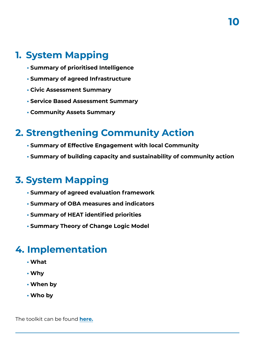### **1. System Mapping**

- **• Summary of prioritised Intelligence**
- **• Summary of agreed Infrastructure**
- **• Civic Assessment Summary**
- **• Service Based Assessment Summary**
- **• Community Assets Summary**

### **2. Strengthening Community Action**

- **• Summary of Effective Engagement with local Community**
- **• Summary of building capacity and sustainability of community action**

### **3. System Mapping**

- **• Summary of agreed evaluation framework**
- **• Summary of OBA measures and indicators**
- **• Summary of HEAT identified priorities**
- **• Summary Theory of Change Logic Model**

### **4. Implementation**

- **• What**
- **• Why**
- **• When by**
- **• Who by**

The toolkit can be found **[here](https://www.norfolkinsight.org.uk/resource-health-inequalities-toolkit/).**